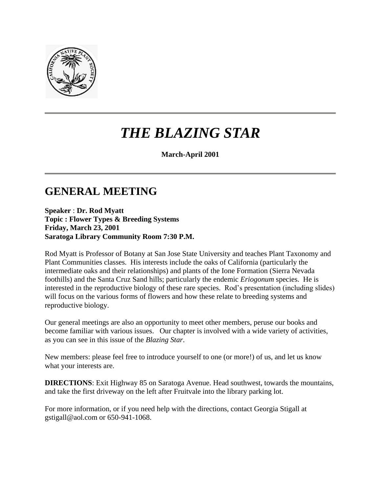

# *THE BLAZING STAR*

**March-April 2001** 

### **GENERAL MEETING**

**Speaker** : **Dr. Rod Myatt Topic : Flower Types & Breeding Systems Friday, March 23, 2001 Saratoga Library Community Room 7:30 P.M.**

Rod Myatt is Professor of Botany at San Jose State University and teaches Plant Taxonomy and Plant Communities classes. His interests include the oaks of California (particularly the intermediate oaks and their relationships) and plants of the Ione Formation (Sierra Nevada foothills) and the Santa Cruz Sand hills; particularly the endemic *Eriogonum* species. He is interested in the reproductive biology of these rare species. Rod's presentation (including slides) will focus on the various forms of flowers and how these relate to breeding systems and reproductive biology.

Our general meetings are also an opportunity to meet other members, peruse our books and become familiar with various issues. Our chapter is involved with a wide variety of activities, as you can see in this issue of the *Blazing Star*.

New members: please feel free to introduce yourself to one (or more!) of us, and let us know what your interests are.

**DIRECTIONS**: Exit Highway 85 on Saratoga Avenue. Head southwest, towards the mountains, and take the first driveway on the left after Fruitvale into the library parking lot.

For more information, or if you need help with the directions, contact Georgia Stigall at gstigall@aol.com or 650-941-1068.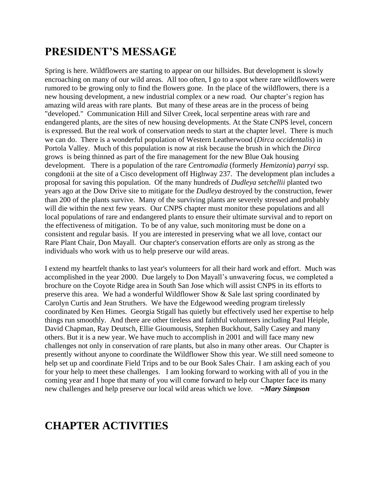### **PRESIDENT'S MESSAGE**

Spring is here. Wildflowers are starting to appear on our hillsides. But development is slowly encroaching on many of our wild areas. All too often, I go to a spot where rare wildflowers were rumored to be growing only to find the flowers gone. In the place of the wildflowers, there is a new housing development, a new industrial complex or a new road. Our chapter's region has amazing wild areas with rare plants. But many of these areas are in the process of being "developed." Communication Hill and Silver Creek, local serpentine areas with rare and endangered plants, are the sites of new housing developments. At the State CNPS level, concern is expressed. But the real work of conservation needs to start at the chapter level. There is much we can do. There is a wonderful population of Western Leatherwood (*Dirca occidentalis*) in Portola Valley. Much of this population is now at risk because the brush in which the *Dirca* grows is being thinned as part of the fire management for the new Blue Oak housing development. There is a population of the rare *Centromadia* (formerly *Hemizonia*) *parryi* ssp. congdonii at the site of a Cisco development off Highway 237. The development plan includes a proposal for saving this population. Of the many hundreds of *Dudleya setchellii* planted two years ago at the Dow Drive site to mitigate for the *Dudleya* destroyed by the construction, fewer than 200 of the plants survive. Many of the surviving plants are severely stressed and probably will die within the next few years. Our CNPS chapter must monitor these populations and all local populations of rare and endangered plants to ensure their ultimate survival and to report on the effectiveness of mitigation. To be of any value, such monitoring must be done on a consistent and regular basis. If you are interested in preserving what we all love, contact our Rare Plant Chair, Don Mayall. Our chapter's conservation efforts are only as strong as the individuals who work with us to help preserve our wild areas.

I extend my heartfelt thanks to last year's volunteers for all their hard work and effort. Much was accomplished in the year 2000. Due largely to Don Mayall's unwavering focus, we completed a brochure on the Coyote Ridge area in South San Jose which will assist CNPS in its efforts to preserve this area. We had a wonderful Wildflower Show & Sale last spring coordinated by Carolyn Curtis and Jean Struthers. We have the Edgewood weeding program tirelessly coordinated by Ken Himes. Georgia Stigall has quietly but effectively used her expertise to help things run smoothly. And there are other tireless and faithful volunteers including Paul Heiple, David Chapman, Ray Deutsch, Ellie Gioumousis, Stephen Buckhout, Sally Casey and many others. But it is a new year. We have much to accomplish in 2001 and will face many new challenges not only in conservation of rare plants, but also in many other areas. Our Chapter is presently without anyone to coordinate the Wildflower Show this year. We still need someone to help set up and coordinate Field Trips and to be our Book Sales Chair. I am asking each of you for your help to meet these challenges. I am looking forward to working with all of you in the coming year and I hope that many of you will come forward to help our Chapter face its many new challenges and help preserve our local wild areas which we love. *~Mary Simpson*

### **CHAPTER ACTIVITIES**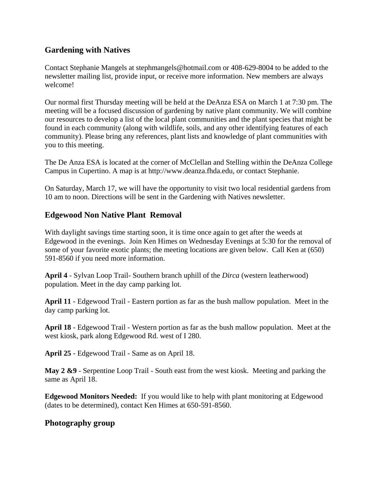#### **Gardening with Natives**

Contact Stephanie Mangels at stephmangels@hotmail.com or 408-629-8004 to be added to the newsletter mailing list, provide input, or receive more information. New members are always welcome!

Our normal first Thursday meeting will be held at the DeAnza ESA on March 1 at 7:30 pm. The meeting will be a focused discussion of gardening by native plant community. We will combine our resources to develop a list of the local plant communities and the plant species that might be found in each community (along with wildlife, soils, and any other identifying features of each community). Please bring any references, plant lists and knowledge of plant communities with you to this meeting.

The De Anza ESA is located at the corner of McClellan and Stelling within the DeAnza College Campus in Cupertino. A map is at http://www.deanza.fhda.edu, or contact Stephanie.

On Saturday, March 17, we will have the opportunity to visit two local residential gardens from 10 am to noon. Directions will be sent in the Gardening with Natives newsletter.

#### **Edgewood Non Native Plant Removal**

With daylight savings time starting soon, it is time once again to get after the weeds at Edgewood in the evenings. Join Ken Himes on Wednesday Evenings at 5:30 for the removal of some of your favorite exotic plants; the meeting locations are given below. Call Ken at (650) 591-8560 if you need more information.

**April 4** - Sylvan Loop Trail- Southern branch uphill of the *Dirca* (western leatherwood) population. Meet in the day camp parking lot.

**April 11** - Edgewood Trail - Eastern portion as far as the bush mallow population. Meet in the day camp parking lot.

**April 18** - Edgewood Trail - Western portion as far as the bush mallow population. Meet at the west kiosk, park along Edgewood Rd. west of I 280.

**April 25** - Edgewood Trail - Same as on April 18.

**May 2 &9** - Serpentine Loop Trail - South east from the west kiosk. Meeting and parking the same as April 18.

**Edgewood Monitors Needed:** If you would like to help with plant monitoring at Edgewood (dates to be determined), contact Ken Himes at 650-591-8560.

#### **Photography group**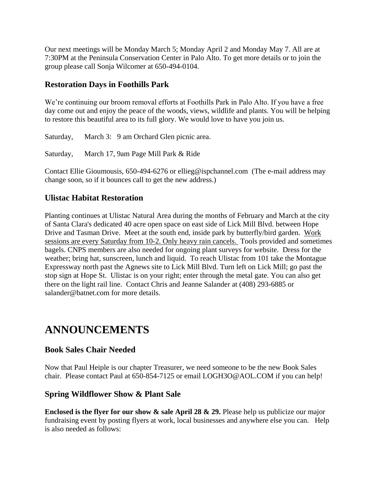Our next meetings will be Monday March 5; Monday April 2 and Monday May 7. All are at 7:30PM at the Peninsula Conservation Center in Palo Alto. To get more details or to join the group please call Sonja Wilcomer at 650-494-0104.

#### **Restoration Days in Foothills Park**

We're continuing our broom removal efforts at Foothills Park in Palo Alto. If you have a free day come out and enjoy the peace of the woods, views, wildlife and plants. You will be helping to restore this beautiful area to its full glory. We would love to have you join us.

Saturday, March 3: 9 am Orchard Glen picnic area.

Saturday, March 17, 9am Page Mill Park & Ride

Contact Ellie Gioumousis, 650-494-6276 or ellieg@ispchannel.com (The e-mail address may change soon, so if it bounces call to get the new address.)

#### **Ulistac Habitat Restoration**

Planting continues at Ulistac Natural Area during the months of February and March at the city of Santa Clara's dedicated 40 acre open space on east side of Lick Mill Blvd. between Hope Drive and Tasman Drive. Meet at the south end, inside park by butterfly/bird garden. Work sessions are every Saturday from 10-2. Only heavy rain cancels. Tools provided and sometimes bagels. CNPS members are also needed for ongoing plant surveys for website. Dress for the weather; bring hat, sunscreen, lunch and liquid. To reach Ulistac from 101 take the Montague Expressway north past the Agnews site to Lick Mill Blvd. Turn left on Lick Mill; go past the stop sign at Hope St. Ulistac is on your right; enter through the metal gate. You can also get there on the light rail line. Contact Chris and Jeanne Salander at (408) 293-6885 or salander@batnet.com for more details.

### **ANNOUNCEMENTS**

#### **Book Sales Chair Needed**

Now that Paul Heiple is our chapter Treasurer, we need someone to be the new Book Sales chair. Please contact Paul at 650-854-7125 or email LOGH3O@AOL.COM if you can help!

#### **Spring Wildflower Show & Plant Sale**

**Enclosed is the flyer for our show & sale April 28 & 29.** Please help us publicize our major fundraising event by posting flyers at work, local businesses and anywhere else you can. Help is also needed as follows: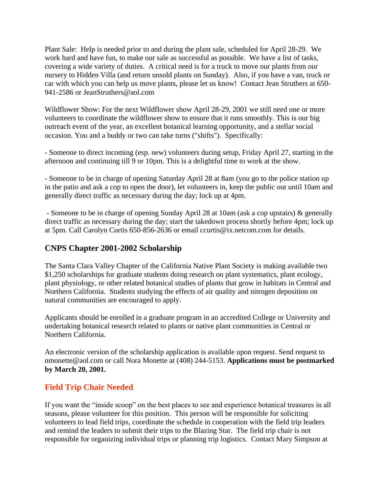Plant Sale: Help is needed prior to and during the plant sale, scheduled for April 28-29. We work hard and have fun, to make our sale as successful as possible. We have a list of tasks, covering a wide variety of duties. A critical need is for a truck to move our plants from our nursery to Hidden Villa (and return unsold plants on Sunday). Also, if you have a van, truck or car with which you can help us move plants, please let us know! Contact Jean Struthers at 650- 941-2586 or JeanStruthers@aol.com

Wildflower Show: For the next Wildflower show April 28-29, 2001 we still need one or more volunteers to coordinate the wildflower show to ensure that it runs smoothly. This is our big outreach event of the year, an excellent botanical learning opportunity, and a stellar social occasion. You and a buddy or two can take turns ("shifts"). Specifically:

- Someone to direct incoming (esp. new) volunteers during setup, Friday April 27, starting in the afternoon and continuing till 9 or 10pm. This is a delightful time to work at the show.

- Someone to be in charge of opening Saturday April 28 at 8am (you go to the police station up in the patio and ask a cop to open the door), let volunteers in, keep the public out until 10am and generally direct traffic as necessary during the day; lock up at 4pm.

- Someone to be in charge of opening Sunday April 28 at 10am (ask a cop upstairs) & generally direct traffic as necessary during the day; start the takedown process shortly before 4pm; lock up at 5pm. Call Carolyn Curtis 650-856-2636 or email ccurtis@ix.netcom.com for details.

#### **CNPS Chapter 2001-2002 Scholarship**

The Santa Clara Valley Chapter of the California Native Plant Society is making available two \$1,250 scholarships for graduate students doing research on plant systematics, plant ecology, plant physiology, or other related botanical studies of plants that grow in habitats in Central and Northern California. Students studying the effects of air quality and nitrogen deposition on natural communities are encouraged to apply.

Applicants should be enrolled in a graduate program in an accredited College or University and undertaking botanical research related to plants or native plant communities in Central or Northern California.

An electronic version of the scholarship application is available upon request. Send request to nmonette@aol.com or call Nora Monette at (408) 244-5153. **Applications must be postmarked by March 20, 2001.**

#### **Field Trip Chair Needed**

If you want the "inside scoop" on the best places to see and experience botanical treasures in all seasons, please volunteer for this position. This person will be responsible for soliciting volunteers to lead field trips, coordinate the schedule in cooperation with the field trip leaders and remind the leaders to submit their trips to the Blazing Star. The field trip chair is not responsible for organizing individual trips or planning trip logistics. Contact Mary Simpson at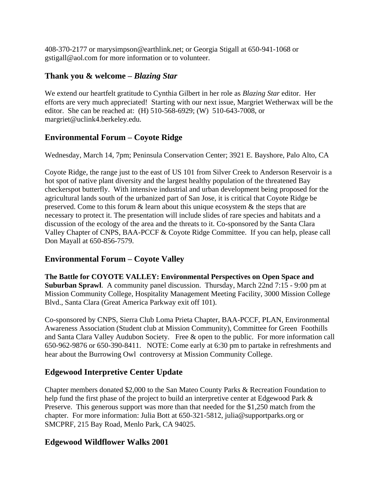408-370-2177 or marysimpson@earthlink.net; or Georgia Stigall at 650-941-1068 or gstigall@aol.com for more information or to volunteer.

#### **Thank you & welcome –** *Blazing Star*

We extend our heartfelt gratitude to Cynthia Gilbert in her role as *Blazing Star* editor. Her efforts are very much appreciated! Starting with our next issue, Margriet Wetherwax will be the editor. She can be reached at: (H) 510-568-6929; (W) 510-643-7008, or margriet@uclink4.berkeley.edu.

#### **Environmental Forum – Coyote Ridge**

Wednesday, March 14, 7pm; Peninsula Conservation Center; 3921 E. Bayshore, Palo Alto, CA

Coyote Ridge, the range just to the east of US 101 from Silver Creek to Anderson Reservoir is a hot spot of native plant diversity and the largest healthy population of the threatened Bay checkerspot butterfly. With intensive industrial and urban development being proposed for the agricultural lands south of the urbanized part of San Jose, it is critical that Coyote Ridge be preserved. Come to this forum  $\&$  learn about this unique ecosystem  $\&$  the steps that are necessary to protect it. The presentation will include slides of rare species and habitats and a discussion of the ecology of the area and the threats to it. Co-sponsored by the Santa Clara Valley Chapter of CNPS, BAA-PCCF & Coyote Ridge Committee. If you can help, please call Don Mayall at 650-856-7579.

#### **Environmental Forum – Coyote Valley**

**The Battle for COYOTE VALLEY: Environmental Perspectives on Open Space and Suburban Sprawl**. A community panel discussion. Thursday, March 22nd 7:15 - 9:00 pm at Mission Community College, Hospitality Management Meeting Facility, 3000 Mission College Blvd., Santa Clara (Great America Parkway exit off 101).

Co-sponsored by CNPS, Sierra Club Loma Prieta Chapter, BAA-PCCF, PLAN, Environmental Awareness Association (Student club at Mission Community), Committee for Green Foothills and Santa Clara Valley Audubon Society. Free & open to the public. For more information call 650-962-9876 or 650-390-8411. NOTE: Come early at 6:30 pm to partake in refreshments and hear about the Burrowing Owl controversy at Mission Community College.

#### **Edgewood Interpretive Center Update**

Chapter members donated \$2,000 to the San Mateo County Parks & Recreation Foundation to help fund the first phase of the project to build an interpretive center at Edgewood Park  $\&$ Preserve. This generous support was more than that needed for the \$1,250 match from the chapter. For more information: Julia Bott at 650-321-5812, julia@supportparks.org or SMCPRF, 215 Bay Road, Menlo Park, CA 94025.

#### **Edgewood Wildflower Walks 2001**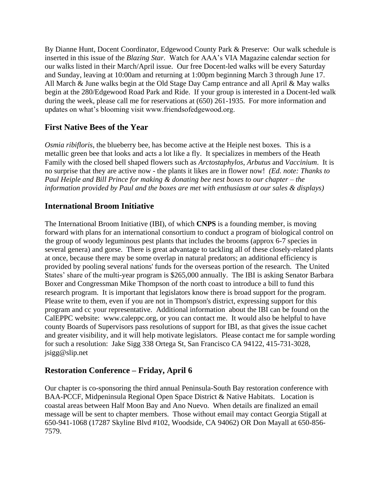By Dianne Hunt, Docent Coordinator, Edgewood County Park & Preserve: Our walk schedule is inserted in this issue of the *Blazing Star*. Watch for AAA's VIA Magazine calendar section for our walks listed in their March/April issue. Our free Docent-led walks will be every Saturday and Sunday, leaving at 10:00am and returning at 1:00pm beginning March 3 through June 17. All March & June walks begin at the Old Stage Day Camp entrance and all April & May walks begin at the 280/Edgewood Road Park and Ride. If your group is interested in a Docent-led walk during the week, please call me for reservations at (650) 261-1935. For more information and updates on what's blooming visit www.friendsofedgewood.org.

#### **First Native Bees of the Year**

*Osmia ribifloris*, the blueberry bee, has become active at the Heiple nest boxes. This is a metallic green bee that looks and acts a lot like a fly. It specializes in members of the Heath Family with the closed bell shaped flowers such as *Arctostaphylos*, *Arbutus* and *Vaccinium*. It is no surprise that they are active now - the plants it likes are in flower now! *(Ed. note: Thanks to Paul Heiple and Bill Prince for making & donating bee nest boxes to our chapter – the information provided by Paul and the boxes are met with enthusiasm at our sales & displays)* 

#### **International Broom Initiative**

The International Broom Initiative (IBI), of which **CNPS** is a founding member, is moving forward with plans for an international consortium to conduct a program of biological control on the group of woody leguminous pest plants that includes the brooms (approx 6-7 species in several genera) and gorse. There is great advantage to tackling all of these closely-related plants at once, because there may be some overlap in natural predators; an additional efficiency is provided by pooling several nations' funds for the overseas portion of the research. The United States' share of the multi-year program is \$265,000 annually. The IBI is asking Senator Barbara Boxer and Congressman Mike Thompson of the north coast to introduce a bill to fund this research program. It is important that legislators know there is broad support for the program. Please write to them, even if you are not in Thompson's district, expressing support for this program and cc your representative. Additional information about the IBI can be found on the CalEPPC website: www.caleppc.org, or you can contact me. It would also be helpful to have county Boards of Supervisors pass resolutions of support for IBI, as that gives the issue cachet and greater visibility, and it will help motivate legislators. Please contact me for sample wording for such a resolution: Jake Sigg 338 Ortega St, San Francisco CA 94122, 415-731-3028, jsigg@slip.net

#### **Restoration Conference – Friday, April 6**

Our chapter is co-sponsoring the third annual Peninsula-South Bay restoration conference with BAA-PCCF, Midpeninsula Regional Open Space District & Native Habitats. Location is coastal areas between Half Moon Bay and Ano Nuevo. When details are finalized an email message will be sent to chapter members. Those without email may contact Georgia Stigall at 650-941-1068 (17287 Skyline Blvd #102, Woodside, CA 94062) OR Don Mayall at 650-856- 7579.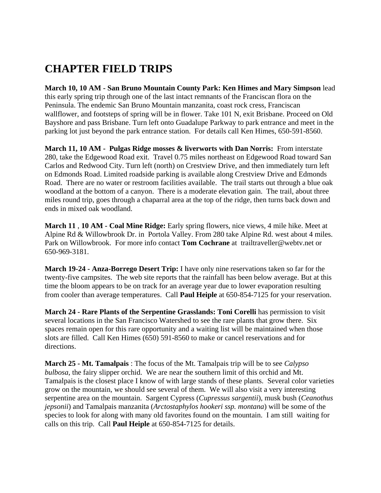## **CHAPTER FIELD TRIPS**

**March 10, 10 AM - San Bruno Mountain County Park: Ken Himes and Mary Simpson** lead this early spring trip through one of the last intact remnants of the Franciscan flora on the Peninsula. The endemic San Bruno Mountain manzanita, coast rock cress, Franciscan wallflower, and footsteps of spring will be in flower. Take 101 N, exit Brisbane. Proceed on Old Bayshore and pass Brisbane. Turn left onto Guadalupe Parkway to park entrance and meet in the parking lot just beyond the park entrance station. For details call Ken Himes, 650-591-8560.

**March 11, 10 AM - Pulgas Ridge mosses & liverworts with Dan Norris:** From interstate 280, take the Edgewood Road exit. Travel 0.75 miles northeast on Edgewood Road toward San Carlos and Redwood City. Turn left (north) on Crestview Drive, and then immediately turn left on Edmonds Road. Limited roadside parking is available along Crestview Drive and Edmonds Road. There are no water or restroom facilities available. The trail starts out through a blue oak woodland at the bottom of a canyon. There is a moderate elevation gain. The trail, about three miles round trip, goes through a chaparral area at the top of the ridge, then turns back down and ends in mixed oak woodland.

**March 11** , **10 AM - Coal Mine Ridge:** Early spring flowers, nice views, 4 mile hike. Meet at Alpine Rd & Willowbrook Dr. in Portola Valley. From 280 take Alpine Rd. west about 4 miles. Park on Willowbrook. For more info contact **Tom Cochrane** at trailtraveller@webtv.net or 650-969-3181.

**March 19-24 - Anza-Borrego Desert Trip:** I have only nine reservations taken so far for the twenty-five campsites. The web site reports that the rainfall has been below average. But at this time the bloom appears to be on track for an average year due to lower evaporation resulting from cooler than average temperatures. Call **Paul Heiple** at 650-854-7125 for your reservation.

**March 24 - Rare Plants of the Serpentine Grasslands: Toni Corelli** has permission to visit several locations in the San Francisco Watershed to see the rare plants that grow there. Six spaces remain open for this rare opportunity and a waiting list will be maintained when those slots are filled. Call Ken Himes (650) 591-8560 to make or cancel reservations and for directions.

**March 25 - Mt. Tamalpais** : The focus of the Mt. Tamalpais trip will be to see *Calypso bulbosa*, the fairy slipper orchid. We are near the southern limit of this orchid and Mt. Tamalpais is the closest place I know of with large stands of these plants. Several color varieties grow on the mountain, we should see several of them. We will also visit a very interesting serpentine area on the mountain. Sargent Cypress (*Cupressus sargentii*), musk bush (*Ceanothus jepsonii*) and Tamalpais manzanita (*Arctostaphylos hookeri ssp. montana*) will be some of the species to look for along with many old favorites found on the mountain. I am still waiting for calls on this trip. Call **Paul Heiple** at 650-854-7125 for details.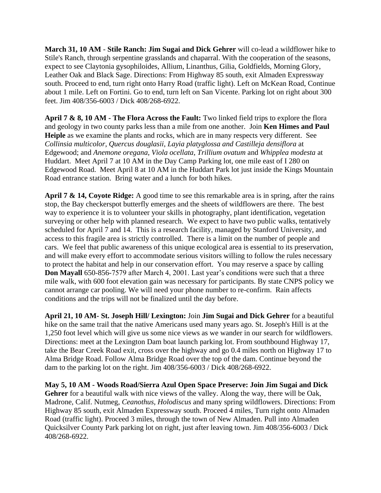**March 31, 10 AM** - **Stile Ranch: Jim Sugai and Dick Gehrer** will co-lead a wildflower hike to Stile's Ranch, through serpentine grasslands and chaparral. With the cooperation of the seasons, expect to see Claytonia gysophiloides, Allium, Linanthus, Gilia, Goldfields, Morning Glory, Leather Oak and Black Sage. Directions: From Highway 85 south, exit Almaden Expressway south. Proceed to end, turn right onto Harry Road (traffic light). Left on McKean Road, Continue about 1 mile. Left on Fortini. Go to end, turn left on San Vicente. Parking lot on right about 300 feet. Jim 408/356-6003 / Dick 408/268-6922.

**April 7 & 8, 10 AM - The Flora Across the Fault:** Two linked field trips to explore the flora and geology in two county parks less than a mile from one another. Join **Ken Himes and Paul Heiple** as we examine the plants and rocks, which are in many respects very different. See *Collinsia multicolor*, *Quercus douglasii*, *Layia platyglossa and Castilleja densiflora* at Edgewood; and *Anemone oregana*, *Viola ocellata*, *Trillium ovatum* and *Whipplea modesta* at Huddart. Meet April 7 at 10 AM in the Day Camp Parking lot, one mile east of I 280 on Edgewood Road. Meet April 8 at 10 AM in the Huddart Park lot just inside the Kings Mountain Road entrance station. Bring water and a lunch for both hikes.

**April 7 & 14, Coyote Ridge:** A good time to see this remarkable area is in spring, after the rains stop, the Bay checkerspot butterfly emerges and the sheets of wildflowers are there. The best way to experience it is to volunteer your skills in photography, plant identification, vegetation surveying or other help with planned research. We expect to have two public walks, tentatively scheduled for April 7 and 14. This is a research facility, managed by Stanford University, and access to this fragile area is strictly controlled. There is a limit on the number of people and cars. We feel that public awareness of this unique ecological area is essential to its preservation, and will make every effort to accommodate serious visitors willing to follow the rules necessary to protect the habitat and help in our conservation effort. You may reserve a space by calling **Don Mayall** 650-856-7579 after March 4, 2001. Last year's conditions were such that a three mile walk, with 600 foot elevation gain was necessary for participants. By state CNPS policy we cannot arrange car pooling. We will need your phone number to re-confirm. Rain affects conditions and the trips will not be finalized until the day before.

**April 21, 10 AM- St. Joseph Hill/ Lexington:** Join **Jim Sugai and Dick Gehrer** for a beautiful hike on the same trail that the native Americans used many years ago. St. Joseph's Hill is at the 1,250 foot level which will give us some nice views as we wander in our search for wildflowers. Directions: meet at the Lexington Dam boat launch parking lot. From southbound Highway 17, take the Bear Creek Road exit, cross over the highway and go 0.4 miles north on Highway 17 to Alma Bridge Road. Follow Alma Bridge Road over the top of the dam. Continue beyond the dam to the parking lot on the right. Jim 408/356-6003 / Dick 408/268-6922.

**May 5, 10 AM - Woods Road/Sierra Azul Open Space Preserve: Join Jim Sugai and Dick**  Gehrer for a beautiful walk with nice views of the valley. Along the way, there will be Oak, Madrone, Calif. Nutmeg, *Ceanothus, Holodiscus* and many spring wildflowers. Directions: From Highway 85 south, exit Almaden Expressway south. Proceed 4 miles, Turn right onto Almaden Road (traffic light). Proceed 3 miles, through the town of New Almaden. Pull into Almaden Quicksilver County Park parking lot on right, just after leaving town. Jim 408/356-6003 / Dick 408/268-6922.